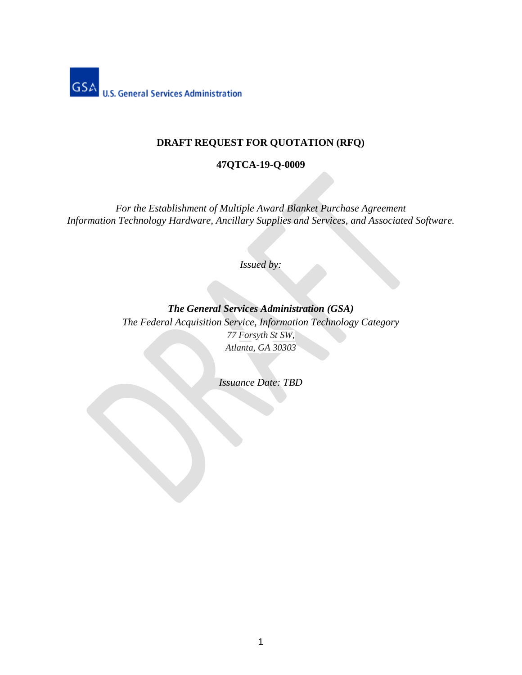

#### **DRAFT REQUEST FOR QUOTATION (RFQ)**

#### **47QTCA-19-Q-0009**

*For the Establishment of Multiple Award Blanket Purchase Agreement Information Technology Hardware, Ancillary Supplies and Services, and Associated Software.*

*Issued by:*

*The General Services Administration (GSA) The Federal Acquisition Service, Information Technology Category 77 Forsyth St SW, Atlanta, GA 30303*

*Issuance Date: TBD*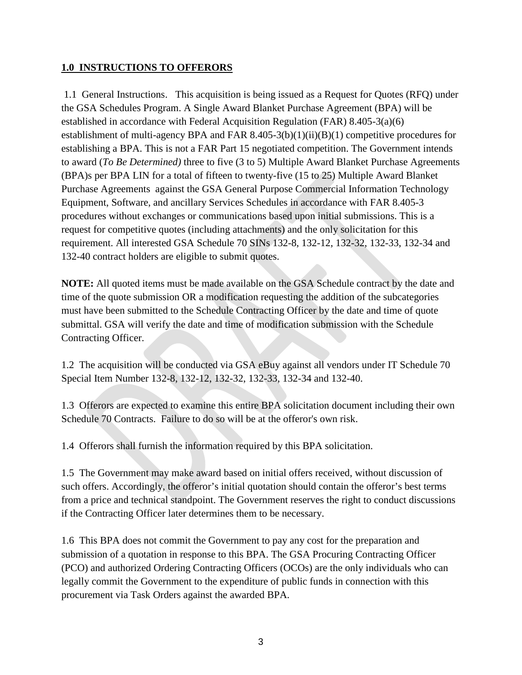#### **1.0 INSTRUCTIONS TO OFFERORS**

1.1 General Instructions. This acquisition is being issued as a Request for Quotes (RFQ) under the GSA Schedules Program. A Single Award Blanket Purchase Agreement (BPA) will be established in accordance with Federal Acquisition Regulation (FAR) 8.405-3(a)(6) establishment of multi-agency BPA and FAR 8.405-3(b)(1)(ii)(B)(1) competitive procedures for establishing a BPA. This is not a FAR Part 15 negotiated competition. The Government intends to award (*To Be Determined)* three to five (3 to 5) Multiple Award Blanket Purchase Agreements (BPA)s per BPA LIN for a total of fifteen to twenty-five (15 to 25) Multiple Award Blanket Purchase Agreements against the GSA General Purpose Commercial Information Technology Equipment, Software, and ancillary Services Schedules in accordance with FAR 8.405-3 procedures without exchanges or communications based upon initial submissions. This is a request for competitive quotes (including attachments) and the only solicitation for this requirement. All interested GSA Schedule 70 SINs 132-8, 132-12, 132-32, 132-33, 132-34 and 132-40 contract holders are eligible to submit quotes.

**NOTE:** All quoted items must be made available on the GSA Schedule contract by the date and time of the quote submission OR a modification requesting the addition of the subcategories must have been submitted to the Schedule Contracting Officer by the date and time of quote submittal. GSA will verify the date and time of modification submission with the Schedule Contracting Officer.

1.2 The acquisition will be conducted via GSA eBuy against all vendors under IT Schedule 70 Special Item Number 132-8, 132-12, 132-32, 132-33, 132-34 and 132-40.

1.3 Offerors are expected to examine this entire BPA solicitation document including their own Schedule 70 Contracts. Failure to do so will be at the offeror's own risk.

1.4 Offerors shall furnish the information required by this BPA solicitation.

1.5 The Government may make award based on initial offers received, without discussion of such offers. Accordingly, the offeror's initial quotation should contain the offeror's best terms from a price and technical standpoint. The Government reserves the right to conduct discussions if the Contracting Officer later determines them to be necessary.

1.6 This BPA does not commit the Government to pay any cost for the preparation and submission of a quotation in response to this BPA. The GSA Procuring Contracting Officer (PCO) and authorized Ordering Contracting Officers (OCOs) are the only individuals who can legally commit the Government to the expenditure of public funds in connection with this procurement via Task Orders against the awarded BPA.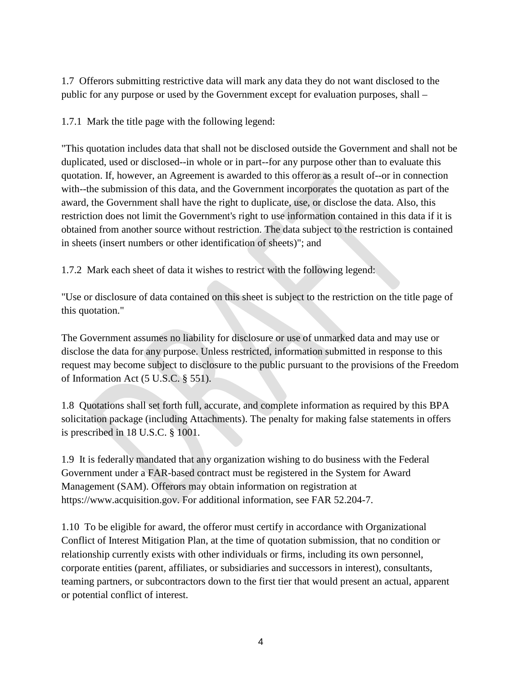1.7 Offerors submitting restrictive data will mark any data they do not want disclosed to the public for any purpose or used by the Government except for evaluation purposes, shall –

1.7.1 Mark the title page with the following legend:

"This quotation includes data that shall not be disclosed outside the Government and shall not be duplicated, used or disclosed--in whole or in part--for any purpose other than to evaluate this quotation. If, however, an Agreement is awarded to this offeror as a result of--or in connection with--the submission of this data, and the Government incorporates the quotation as part of the award, the Government shall have the right to duplicate, use, or disclose the data. Also, this restriction does not limit the Government's right to use information contained in this data if it is obtained from another source without restriction. The data subject to the restriction is contained in sheets (insert numbers or other identification of sheets)"; and

1.7.2 Mark each sheet of data it wishes to restrict with the following legend:

"Use or disclosure of data contained on this sheet is subject to the restriction on the title page of this quotation."

The Government assumes no liability for disclosure or use of unmarked data and may use or disclose the data for any purpose. Unless restricted, information submitted in response to this request may become subject to disclosure to the public pursuant to the provisions of the Freedom of Information Act (5 U.S.C. § 551).

1.8 Quotations shall set forth full, accurate, and complete information as required by this BPA solicitation package (including Attachments). The penalty for making false statements in offers is prescribed in 18 U.S.C. § 1001.

1.9 It is federally mandated that any organization wishing to do business with the Federal Government under a FAR-based contract must be registered in the System for Award Management (SAM). Offerors may obtain information on registration at https://www.acquisition.gov. For additional information, see FAR 52.204-7.

1.10 To be eligible for award, the offeror must certify in accordance with Organizational Conflict of Interest Mitigation Plan, at the time of quotation submission, that no condition or relationship currently exists with other individuals or firms, including its own personnel, corporate entities (parent, affiliates, or subsidiaries and successors in interest), consultants, teaming partners, or subcontractors down to the first tier that would present an actual, apparent or potential conflict of interest.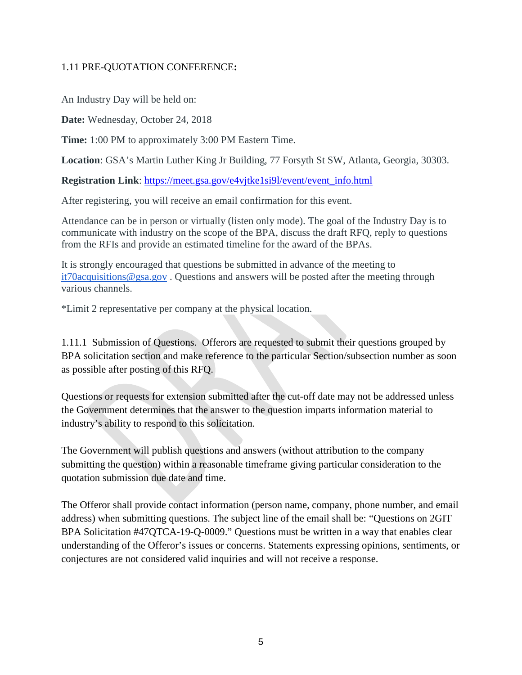#### 1.11 PRE-QUOTATION CONFERENCE**:**

An Industry Day will be held on:

**Date:** Wednesday, October 24, 2018

**Time:** 1:00 PM to approximately 3:00 PM Eastern Time.

**Location**: GSA's Martin Luther King Jr Building, 77 Forsyth St SW, Atlanta, Georgia, 30303.

**Registration Link**: [https://meet.gsa.gov/e4vjtke1si9l/event/event\\_info.html](https://meet.gsa.gov/e4vjtke1si9l/event/event_info.html)

After registering, you will receive an email confirmation for this event.

Attendance can be in person or virtually (listen only mode). The goal of the Industry Day is to communicate with industry on the scope of the BPA, discuss the draft RFQ, reply to questions from the RFIs and provide an estimated timeline for the award of the BPAs.

It is strongly encouraged that questions be submitted in advance of the meeting to [it70acquisitions@gsa.gov](mailto:it70acquisitions@gsa.gov) . Questions and answers will be posted after the meeting through various channels.

\*Limit 2 representative per company at the physical location.

1.11.1 Submission of Questions. Offerors are requested to submit their questions grouped by BPA solicitation section and make reference to the particular Section/subsection number as soon as possible after posting of this RFQ.

Questions or requests for extension submitted after the cut-off date may not be addressed unless the Government determines that the answer to the question imparts information material to industry's ability to respond to this solicitation.

The Government will publish questions and answers (without attribution to the company submitting the question) within a reasonable timeframe giving particular consideration to the quotation submission due date and time.

The Offeror shall provide contact information (person name, company, phone number, and email address) when submitting questions. The subject line of the email shall be: "Questions on 2GIT BPA Solicitation #47QTCA-19-Q-0009." Questions must be written in a way that enables clear understanding of the Offeror's issues or concerns. Statements expressing opinions, sentiments, or conjectures are not considered valid inquiries and will not receive a response.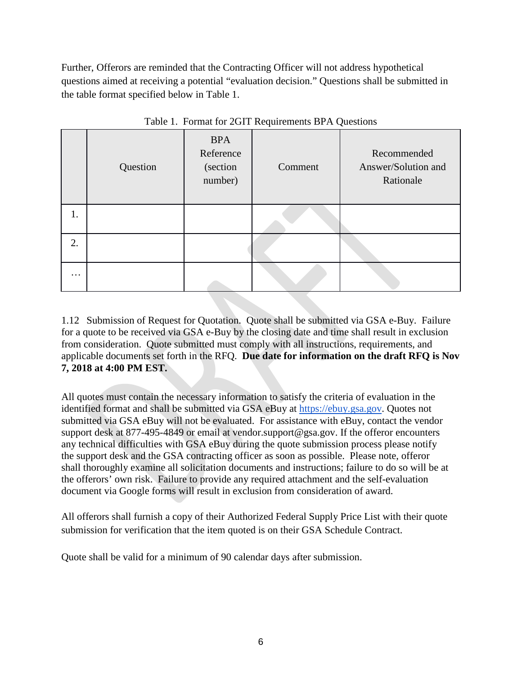Further, Offerors are reminded that the Contracting Officer will not address hypothetical questions aimed at receiving a potential "evaluation decision." Questions shall be submitted in the table format specified below in Table 1.

|          | Question | <b>BPA</b><br>Reference<br>(section<br>number) | Comment | Recommended<br>Answer/Solution and<br>Rationale |
|----------|----------|------------------------------------------------|---------|-------------------------------------------------|
| 1.       |          |                                                |         |                                                 |
| 2.       |          |                                                |         |                                                 |
| $\cdots$ |          |                                                |         |                                                 |

Table 1. Format for 2GIT Requirements BPA Questions

1.12Submission of Request for Quotation. Quote shall be submitted via GSA e-Buy. Failure for a quote to be received via GSA e-Buy by the closing date and time shall result in exclusion from consideration. Quote submitted must comply with all instructions, requirements, and applicable documents set forth in the RFQ. **Due date for information on the draft RFQ is Nov 7, 2018 at 4:00 PM EST.**

All quotes must contain the necessary information to satisfy the criteria of evaluation in the identified format and shall be submitted via GSA eBuy at [https://ebuy.gsa.gov.](https://ebuy.gsa.gov/) Quotes not submitted via GSA eBuy will not be evaluated. For assistance with eBuy, contact the vendor support desk at 877-495-4849 or email at vendor.support@gsa.gov. If the offeror encounters any technical difficulties with GSA eBuy during the quote submission process please notify the support desk and the GSA contracting officer as soon as possible. Please note, offeror shall thoroughly examine all solicitation documents and instructions; failure to do so will be at the offerors' own risk. Failure to provide any required attachment and the self-evaluation document via Google forms will result in exclusion from consideration of award.

All offerors shall furnish a copy of their Authorized Federal Supply Price List with their quote submission for verification that the item quoted is on their GSA Schedule Contract.

Quote shall be valid for a minimum of 90 calendar days after submission.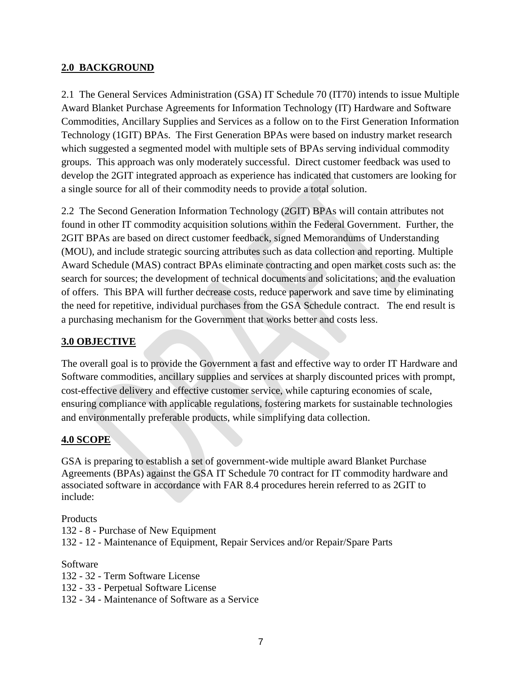#### **2.0 BACKGROUND**

2.1 The General Services Administration (GSA) IT Schedule 70 (IT70) intends to issue Multiple Award Blanket Purchase Agreements for Information Technology (IT) Hardware and Software Commodities, Ancillary Supplies and Services as a follow on to the First Generation Information Technology (1GIT) BPAs. The First Generation BPAs were based on industry market research which suggested a segmented model with multiple sets of BPAs serving individual commodity groups. This approach was only moderately successful. Direct customer feedback was used to develop the 2GIT integrated approach as experience has indicated that customers are looking for a single source for all of their commodity needs to provide a total solution.

2.2 The Second Generation Information Technology (2GIT) BPAs will contain attributes not found in other IT commodity acquisition solutions within the Federal Government. Further, the 2GIT BPAs are based on direct customer feedback, signed Memorandums of Understanding (MOU), and include strategic sourcing attributes such as data collection and reporting. Multiple Award Schedule (MAS) contract BPAs eliminate contracting and open market costs such as: the search for sources; the development of technical documents and solicitations; and the evaluation of offers. This BPA will further decrease costs, reduce paperwork and save time by eliminating the need for repetitive, individual purchases from the GSA Schedule contract. The end result is a purchasing mechanism for the Government that works better and costs less.

#### **3.0 OBJECTIVE**

The overall goal is to provide the Government a fast and effective way to order IT Hardware and Software commodities, ancillary supplies and services at sharply discounted prices with prompt, cost-effective delivery and effective customer service, while capturing economies of scale, ensuring compliance with applicable regulations, fostering markets for sustainable technologies and environmentally preferable products, while simplifying data collection.

#### **4.0 SCOPE**

GSA is preparing to establish a set of government-wide multiple award Blanket Purchase Agreements (BPAs) against the GSA IT Schedule 70 contract for IT commodity hardware and associated software in accordance with FAR 8.4 procedures herein referred to as 2GIT to include:

Products

132 - 8 - Purchase of New Equipment

132 - 12 - Maintenance of Equipment, Repair Services and/or Repair/Spare Parts

Software

- 132 32 Term Software License
- 132 33 Perpetual Software License
- 132 34 Maintenance of Software as a Service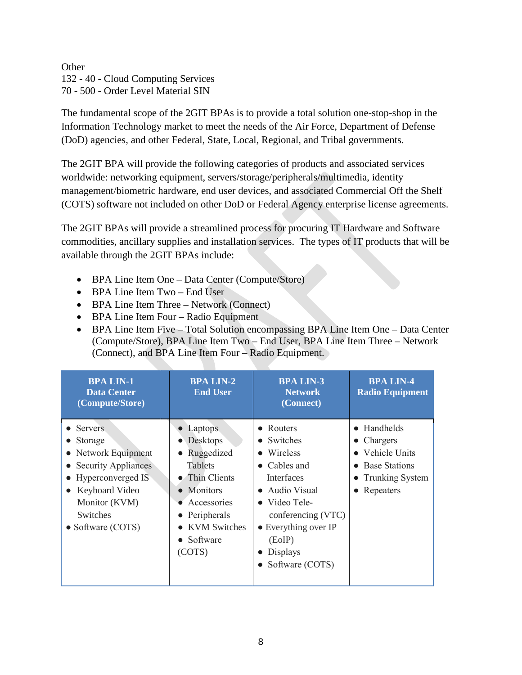#### **Other** 132 - 40 - Cloud Computing Services 70 - 500 - Order Level Material SIN

The fundamental scope of the 2GIT BPAs is to provide a total solution one-stop-shop in the Information Technology market to meet the needs of the Air Force, Department of Defense (DoD) agencies, and other Federal, State, Local, Regional, and Tribal governments.

The 2GIT BPA will provide the following categories of products and associated services worldwide: networking equipment, servers/storage/peripherals/multimedia, identity management/biometric hardware, end user devices, and associated Commercial Off the Shelf (COTS) software not included on other DoD or Federal Agency enterprise license agreements.

The 2GIT BPAs will provide a streamlined process for procuring IT Hardware and Software commodities, ancillary supplies and installation services. The types of IT products that will be available through the 2GIT BPAs include:

- BPA Line Item One Data Center (Compute/Store)
- BPA Line Item Two End User
- BPA Line Item Three Network (Connect)
- BPA Line Item Four Radio Equipment
- BPA Line Item Five Total Solution encompassing BPA Line Item One Data Center (Compute/Store), BPA Line Item Two – End User, BPA Line Item Three – Network (Connect), and BPA Line Item Four – Radio Equipment.

| <b>BPA LIN-1</b><br><b>Data Center</b><br>(Compute/Store)                                                                                                                         | <b>BPA LIN-2</b><br><b>End User</b>                                                                                                                                 | <b>BPA LIN-3</b><br><b>Network</b><br>(Connect)                                                                                                                                                                     | <b>BPA LIN-4</b><br><b>Radio Equipment</b>                                                                       |
|-----------------------------------------------------------------------------------------------------------------------------------------------------------------------------------|---------------------------------------------------------------------------------------------------------------------------------------------------------------------|---------------------------------------------------------------------------------------------------------------------------------------------------------------------------------------------------------------------|------------------------------------------------------------------------------------------------------------------|
| $\bullet$ Servers<br>Storage<br>Network Equipment<br><b>Security Appliances</b><br>Hyperconverged IS<br>• Keyboard Video<br>Monitor (KVM)<br><b>Switches</b><br>• Software (COTS) | Laptops<br>Desktops<br>Ruggedized<br>Tablets<br>• Thin Clients<br>• Monitors<br>Accessories<br>• Peripherals<br><b>KVM Switches</b><br>$\bullet$ Software<br>(COTS) | • Routers<br>• Switches<br>• Wireless<br>• Cables and<br><b>Interfaces</b><br>• Audio Visual<br>$\bullet$ Video Tele-<br>conferencing (VTC)<br>• Everything over IP<br>(EoIP)<br><b>Displays</b><br>Software (COTS) | • Handhelds<br>$\bullet$ Chargers<br>• Vehicle Units<br><b>Base Stations</b><br>• Trunking System<br>• Repeaters |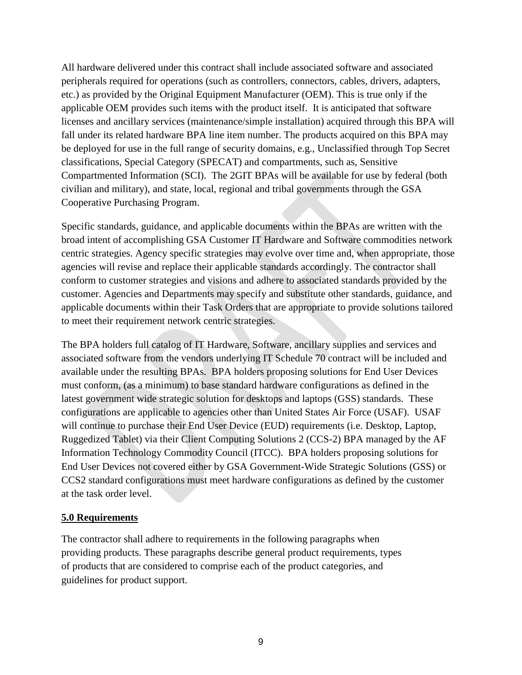All hardware delivered under this contract shall include associated software and associated peripherals required for operations (such as controllers, connectors, cables, drivers, adapters, etc.) as provided by the Original Equipment Manufacturer (OEM). This is true only if the applicable OEM provides such items with the product itself. It is anticipated that software licenses and ancillary services (maintenance/simple installation) acquired through this BPA will fall under its related hardware BPA line item number. The products acquired on this BPA may be deployed for use in the full range of security domains, e.g., Unclassified through Top Secret classifications, Special Category (SPECAT) and compartments, such as, Sensitive Compartmented Information (SCI). The 2GIT BPAs will be available for use by federal (both civilian and military), and state, local, regional and tribal governments through the GSA Cooperative Purchasing Program.

Specific standards, guidance, and applicable documents within the BPAs are written with the broad intent of accomplishing GSA Customer IT Hardware and Software commodities network centric strategies. Agency specific strategies may evolve over time and, when appropriate, those agencies will revise and replace their applicable standards accordingly. The contractor shall conform to customer strategies and visions and adhere to associated standards provided by the customer. Agencies and Departments may specify and substitute other standards, guidance, and applicable documents within their Task Orders that are appropriate to provide solutions tailored to meet their requirement network centric strategies.

The BPA holders full catalog of IT Hardware, Software, ancillary supplies and services and associated software from the vendors underlying IT Schedule 70 contract will be included and available under the resulting BPAs. BPA holders proposing solutions for End User Devices must conform, (as a minimum) to base standard hardware configurations as defined in the latest government wide strategic solution for desktops and laptops (GSS) standards. These configurations are applicable to agencies other than United States Air Force (USAF). USAF will continue to purchase their End User Device (EUD) requirements (i.e. Desktop, Laptop, Ruggedized Tablet) via their Client Computing Solutions 2 (CCS-2) BPA managed by the AF Information Technology Commodity Council (ITCC). BPA holders proposing solutions for End User Devices not covered either by GSA Government-Wide Strategic Solutions (GSS) or CCS2 standard configurations must meet hardware configurations as defined by the customer at the task order level.

#### **5.0 Requirements**

The contractor shall adhere to requirements in the following paragraphs when providing products. These paragraphs describe general product requirements, types of products that are considered to comprise each of the product categories, and guidelines for product support.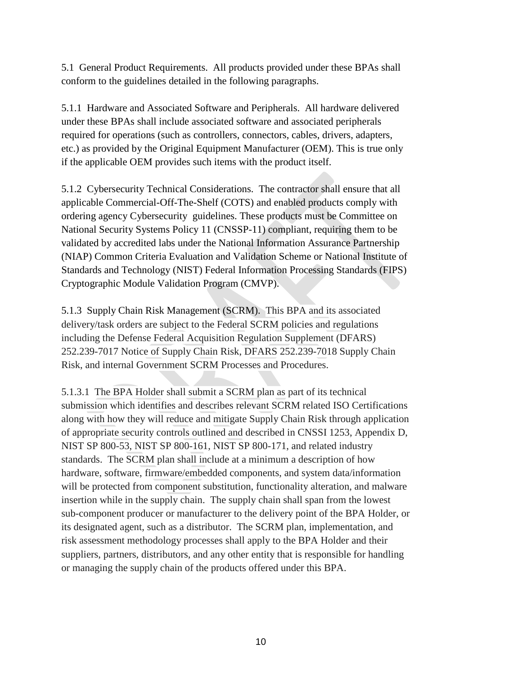5.1 General Product Requirements. All products provided under these BPAs shall conform to the guidelines detailed in the following paragraphs.

5.1.1 Hardware and Associated Software and Peripherals. All hardware delivered under these BPAs shall include associated software and associated peripherals required for operations (such as controllers, connectors, cables, drivers, adapters, etc.) as provided by the Original Equipment Manufacturer (OEM). This is true only if the applicable OEM provides such items with the product itself.

5.1.2 Cybersecurity Technical Considerations. The contractor shall ensure that all applicable Commercial-Off-The-Shelf (COTS) and enabled products comply with ordering agency Cybersecurity guidelines. These products must be Committee on National Security Systems Policy 11 (CNSSP-11) compliant, requiring them to be validated by accredited labs under the National Information Assurance Partnership (NIAP) Common Criteria Evaluation and Validation Scheme or National Institute of Standards and Technology (NIST) Federal Information Processing Standards (FIPS) Cryptographic Module Validation Program (CMVP).

5.1.3 Supply Chain Risk Management (SCRM). This BPA and its associated delivery/task orders are subject to the Federal SCRM policies and regulations including the Defense Federal Acquisition Regulation Supplement (DFARS) 252.239-7017 Notice of Supply Chain Risk, DFARS 252.239-7018 Supply Chain Risk, and internal Government SCRM Processes and Procedures.

5.1.3.1 The BPA Holder shall submit a SCRM plan as part of its technical submission which identifies and describes relevant SCRM related ISO Certifications along with how they will reduce and mitigate Supply Chain Risk through application of appropriate security controls outlined and described in CNSSI 1253, Appendix D, NIST SP 800-53, NIST SP 800-161, NIST SP 800-171, and related industry standards. The SCRM plan shall include at a minimum a description of how hardware, software, firmware/embedded components, and system data/information will be protected from component substitution, functionality alteration, and malware insertion while in the supply chain. The supply chain shall span from the lowest sub-component producer or manufacturer to the delivery point of the BPA Holder, or its designated agent, such as a distributor. The SCRM plan, implementation, and risk assessment methodology processes shall apply to the BPA Holder and their suppliers, partners, distributors, and any other entity that is responsible for handling or managing the supply chain of the products offered under this BPA.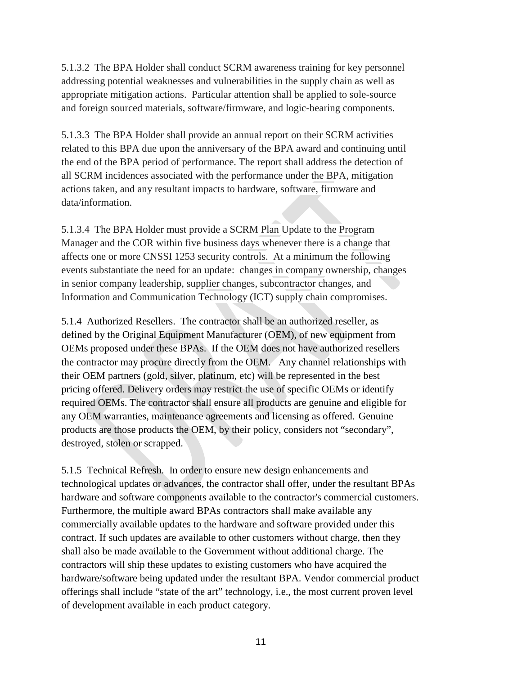5.1.3.2 The BPA Holder shall conduct SCRM awareness training for key personnel addressing potential weaknesses and vulnerabilities in the supply chain as well as appropriate mitigation actions. Particular attention shall be applied to sole-source and foreign sourced materials, software/firmware, and logic-bearing components.

5.1.3.3 The BPA Holder shall provide an annual report on their SCRM activities related to this BPA due upon the anniversary of the BPA award and continuing until the end of the BPA period of performance. The report shall address the detection of all SCRM incidences associated with the performance under the BPA, mitigation actions taken, and any resultant impacts to hardware, software, firmware and data/information.

5.1.3.4 The BPA Holder must provide a SCRM Plan Update to the Program Manager and the COR within five business days whenever there is a change that affects one or more CNSSI 1253 security controls. At a minimum the following events substantiate the need for an update: changes in company ownership, changes in senior company leadership, supplier changes, subcontractor changes, and Information and Communication Technology (ICT) supply chain compromises.

5.1.4 Authorized Resellers. The contractor shall be an authorized reseller, as defined by the Original Equipment Manufacturer (OEM), of new equipment from OEMs proposed under these BPAs. If the OEM does not have authorized resellers the contractor may procure directly from the OEM. Any channel relationships with their OEM partners (gold, silver, platinum, etc) will be represented in the best pricing offered. Delivery orders may restrict the use of specific OEMs or identify required OEMs. The contractor shall ensure all products are genuine and eligible for any OEM warranties, maintenance agreements and licensing as offered. Genuine products are those products the OEM, by their policy, considers not "secondary", destroyed, stolen or scrapped.

5.1.5 Technical Refresh. In order to ensure new design enhancements and technological updates or advances, the contractor shall offer, under the resultant BPAs hardware and software components available to the contractor's commercial customers. Furthermore, the multiple award BPAs contractors shall make available any commercially available updates to the hardware and software provided under this contract. If such updates are available to other customers without charge, then they shall also be made available to the Government without additional charge. The contractors will ship these updates to existing customers who have acquired the hardware/software being updated under the resultant BPA. Vendor commercial product offerings shall include "state of the art" technology, i.e., the most current proven level of development available in each product category.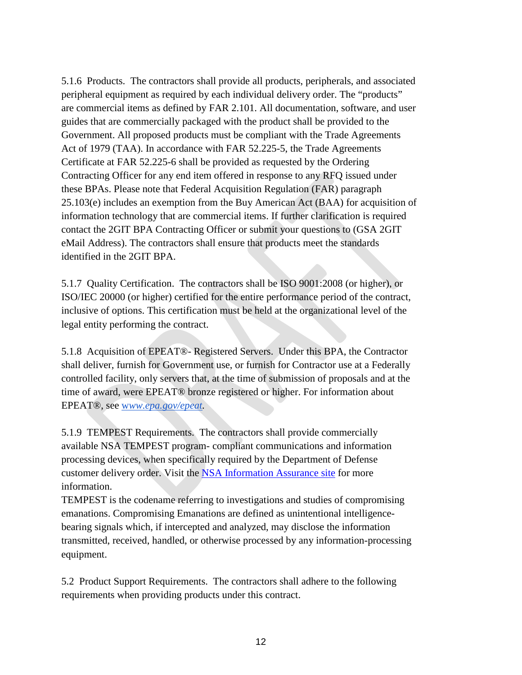5.1.6 Products. The contractors shall provide all products, peripherals, and associated peripheral equipment as required by each individual delivery order. The "products" are commercial items as defined by FAR 2.101. All documentation, software, and user guides that are commercially packaged with the product shall be provided to the Government. All proposed products must be compliant with the Trade Agreements Act of 1979 (TAA). In accordance with FAR 52.225-5, the Trade Agreements Certificate at FAR 52.225-6 shall be provided as requested by the Ordering Contracting Officer for any end item offered in response to any RFQ issued under these BPAs. Please note that Federal Acquisition Regulation (FAR) paragraph 25.103(e) includes an exemption from the Buy American Act (BAA) for acquisition of information technology that are commercial items. If further clarification is required contact the 2GIT BPA Contracting Officer or submit your questions to (GSA 2GIT eMail Address). The contractors shall ensure that products meet the standards identified in the 2GIT BPA.

5.1.7 Quality Certification. The contractors shall be ISO 9001:2008 (or higher), or ISO/IEC 20000 (or higher) certified for the entire performance period of the contract, inclusive of options. This certification must be held at the organizational level of the legal entity performing the contract.

5.1.8 Acquisition of EPEAT®- Registered Servers. Under this BPA, the Contractor shall deliver, furnish for Government use, or furnish for Contractor use at a Federally controlled facility, only servers that, at the time of submission of proposals and at the time of award, were EPEAT® bronze registered or higher. For information about EPEAT®, see [w](http://www.epa.gov/epeat)*[ww.epa.gov/epeat.](http://www.epa.gov/epeat)*

5.1.9 TEMPEST Requirements. The contractors shall provide commercially available NSA TEMPEST program- compliant communications and information processing devices, when specifically required by the Department of Defense customer delivery order. Visit th[e](https://www.iad.gov/iad/programs/iad-initiatives/tempest.cfm) [NSA Information Assurance site](https://www.iad.gov/iad/programs/iad-initiatives/tempest.cfm) for more information.

TEMPEST is the codename referring to investigations and studies of compromising emanations. Compromising Emanations are defined as unintentional intelligencebearing signals which, if intercepted and analyzed, may disclose the information transmitted, received, handled, or otherwise processed by any information-processing equipment.

5.2 Product Support Requirements. The contractors shall adhere to the following requirements when providing products under this contract.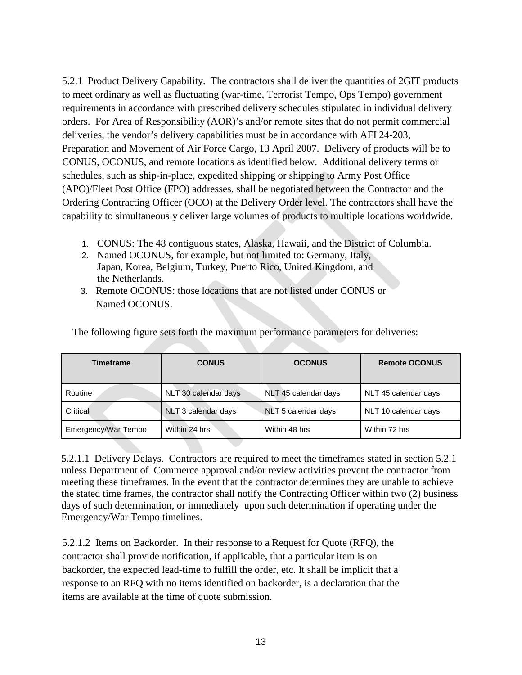5.2.1 Product Delivery Capability. The contractors shall deliver the quantities of 2GIT products to meet ordinary as well as fluctuating (war-time, Terrorist Tempo, Ops Tempo) government requirements in accordance with prescribed delivery schedules stipulated in individual delivery orders. For Area of Responsibility (AOR)'s and/or remote sites that do not permit commercial deliveries, the vendor's delivery capabilities must be in accordance with AFI 24-203, Preparation and Movement of Air Force Cargo, 13 April 2007. Delivery of products will be to CONUS, OCONUS, and remote locations as identified below. Additional delivery terms or schedules, such as ship-in-place, expedited shipping or shipping to Army Post Office (APO)/Fleet Post Office (FPO) addresses, shall be negotiated between the Contractor and the Ordering Contracting Officer (OCO) at the Delivery Order level. The contractors shall have the capability to simultaneously deliver large volumes of products to multiple locations worldwide.

- 1. CONUS: The 48 contiguous states, Alaska, Hawaii, and the District of Columbia.
- 2. Named OCONUS, for example, but not limited to: Germany, Italy, Japan, Korea, Belgium, Turkey, Puerto Rico, United Kingdom, and the Netherlands.
- 3. Remote OCONUS: those locations that are not listed under CONUS or Named OCONUS.

| <b>Timeframe</b>    | <b>CONUS</b>         | <b>OCONUS</b>        | <b>Remote OCONUS</b> |
|---------------------|----------------------|----------------------|----------------------|
| Routine             | NLT 30 calendar days | NLT 45 calendar days | NLT 45 calendar days |
| Critical            | NLT 3 calendar days  | NLT 5 calendar days  | NLT 10 calendar days |
| Emergency/War Tempo | Within 24 hrs        | Within 48 hrs        | Within 72 hrs        |

The following figure sets forth the maximum performance parameters for deliveries:

5.2.1.1 Delivery Delays. Contractors are required to meet the timeframes stated in section 5.2.1 unless Department of Commerce approval and/or review activities prevent the contractor from meeting these timeframes. In the event that the contractor determines they are unable to achieve the stated time frames, the contractor shall notify the Contracting Officer within two (2) business days of such determination, or immediately upon such determination if operating under the Emergency/War Tempo timelines.

5.2.1.2 Items on Backorder. In their response to a Request for Quote (RFQ), the contractor shall provide notification, if applicable, that a particular item is on backorder, the expected lead-time to fulfill the order, etc. It shall be implicit that a response to an RFQ with no items identified on backorder, is a declaration that the items are available at the time of quote submission.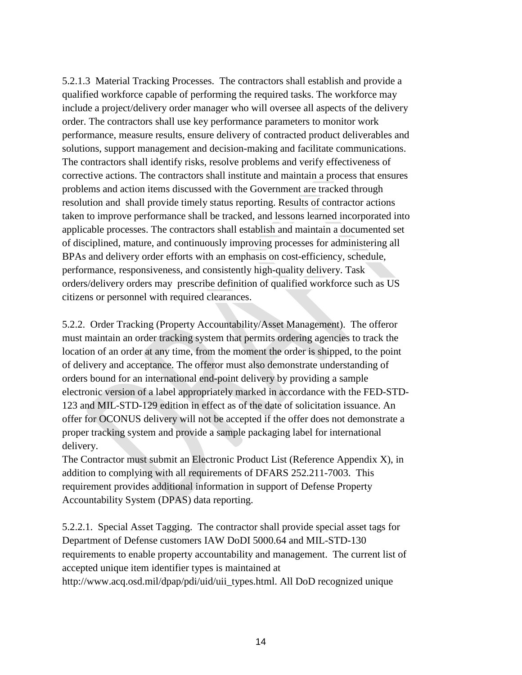5.2.1.3 Material Tracking Processes. The contractors shall establish and provide a qualified workforce capable of performing the required tasks. The workforce may include a project/delivery order manager who will oversee all aspects of the delivery order. The contractors shall use key performance parameters to monitor work performance, measure results, ensure delivery of contracted product deliverables and solutions, support management and decision-making and facilitate communications. The contractors shall identify risks, resolve problems and verify effectiveness of corrective actions. The contractors shall institute and maintain a process that ensures problems and action items discussed with the Government are tracked through resolution and shall provide timely status reporting. Results of contractor actions taken to improve performance shall be tracked, and lessons learned incorporated into applicable processes. The contractors shall establish and maintain a documented set of disciplined, mature, and continuously improving processes for administering all BPAs and delivery order efforts with an emphasis on cost-efficiency, schedule, performance, responsiveness, and consistently high-quality delivery. Task orders/delivery orders may prescribe definition of qualified workforce such as US citizens or personnel with required clearances.

5.2.2. Order Tracking (Property Accountability/Asset Management). The offeror must maintain an order tracking system that permits ordering agencies to track the location of an order at any time, from the moment the order is shipped, to the point of delivery and acceptance. The offeror must also demonstrate understanding of orders bound for an international end-point delivery by providing a sample electronic version of a label appropriately marked in accordance with the FED-STD-123 and MIL-STD-129 edition in effect as of the date of solicitation issuance. An offer for OCONUS delivery will not be accepted if the offer does not demonstrate a proper tracking system and provide a sample packaging label for international delivery.

The Contractor must submit an Electronic Product List (Reference Appendix X), in addition to complying with all requirements of DFARS 252.211-7003. This requirement provides additional information in support of Defense Property Accountability System (DPAS) data reporting.

5.2.2.1. Special Asset Tagging. The contractor shall provide special asset tags for Department of Defense customers IAW DoDI 5000.64 and MIL-STD-130 requirements to enable property accountability and management. The current list of accepted unique item identifier types is maintained at http://www.acq.osd.mil/dpap/pdi/uid/uii\_types.html. All DoD recognized unique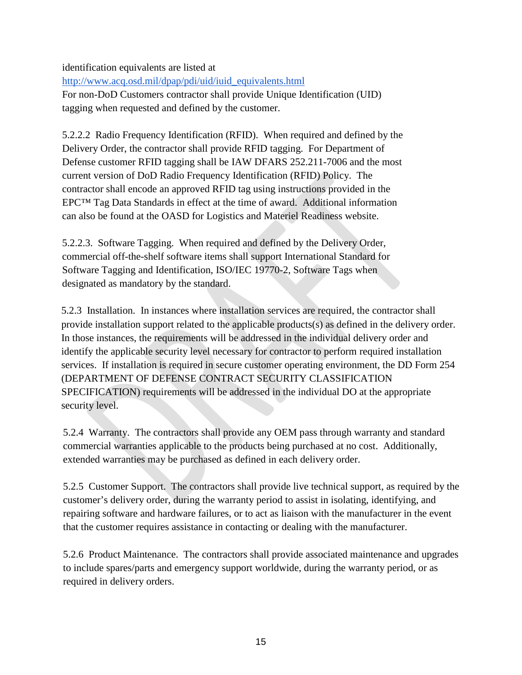identification equivalents are listed a[t](http://www.acq.osd.mil/dpap/pdi/uid/iuid_equivalents.html)

[http://www.acq.osd.mil/dpap/pdi/uid/iuid\\_equivalents.html](http://www.acq.osd.mil/dpap/pdi/uid/iuid_equivalents.html) For non-DoD Customers contractor shall provide Unique Identification (UID) tagging when requested and defined by the customer.

5.2.2.2 Radio Frequency Identification (RFID). When required and defined by the Delivery Order, the contractor shall provide RFID tagging. For Department of Defense customer RFID tagging shall be IAW DFARS 252.211-7006 and the most current version of DoD Radio Frequency Identification (RFID) Policy. The contractor shall encode an approved RFID tag using instructions provided in the EPC™ Tag Data Standards in effect at the time of award. Additional information can also be found at the OASD for Logistics and Materiel Readiness website.

5.2.2.3. Software Tagging. When required and defined by the Delivery Order, commercial off-the-shelf software items shall support International Standard for Software Tagging and Identification, ISO/IEC 19770-2, Software Tags when designated as mandatory by the standard.

5.2.3 Installation. In instances where installation services are required, the contractor shall provide installation support related to the applicable products(s) as defined in the delivery order. In those instances, the requirements will be addressed in the individual delivery order and identify the applicable security level necessary for contractor to perform required installation services. If installation is required in secure customer operating environment, the DD Form 254 (DEPARTMENT OF DEFENSE CONTRACT SECURITY CLASSIFICATION SPECIFICATION) requirements will be addressed in the individual DO at the appropriate security level.

5.2.4 Warranty. The contractors shall provide any OEM pass through warranty and standard commercial warranties applicable to the products being purchased at no cost. Additionally, extended warranties may be purchased as defined in each delivery order.

5.2.5 Customer Support. The contractors shall provide live technical support, as required by the customer's delivery order, during the warranty period to assist in isolating, identifying, and repairing software and hardware failures, or to act as liaison with the manufacturer in the event that the customer requires assistance in contacting or dealing with the manufacturer.

5.2.6 Product Maintenance. The contractors shall provide associated maintenance and upgrades to include spares/parts and emergency support worldwide, during the warranty period, or as required in delivery orders.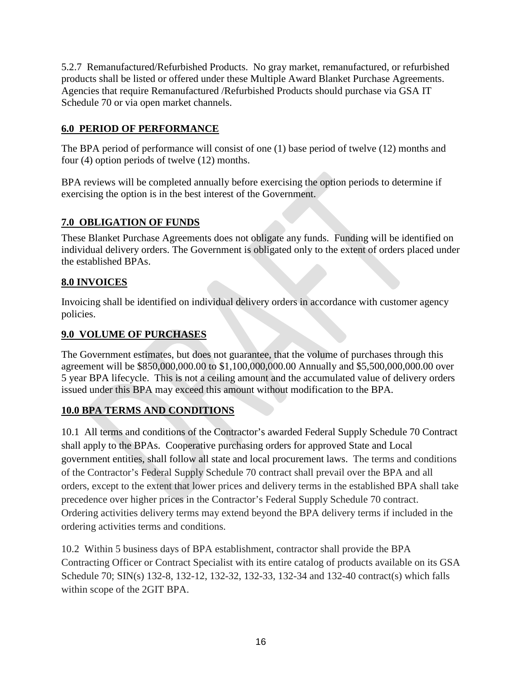5.2.7 Remanufactured/Refurbished Products. No gray market, remanufactured, or refurbished products shall be listed or offered under these Multiple Award Blanket Purchase Agreements. Agencies that require Remanufactured /Refurbished Products should purchase via GSA IT Schedule 70 or via open market channels.

## **6.0 PERIOD OF PERFORMANCE**

The BPA period of performance will consist of one (1) base period of twelve (12) months and four (4) option periods of twelve (12) months.

BPA reviews will be completed annually before exercising the option periods to determine if exercising the option is in the best interest of the Government.

## **7.0 OBLIGATION OF FUNDS**

These Blanket Purchase Agreements does not obligate any funds. Funding will be identified on individual delivery orders. The Government is obligated only to the extent of orders placed under the established BPAs.

## **8.0 INVOICES**

Invoicing shall be identified on individual delivery orders in accordance with customer agency policies.

## **9.0 VOLUME OF PURCHASES**

The Government estimates, but does not guarantee, that the volume of purchases through this agreement will be \$850,000,000.00 to \$1,100,000,000.00 Annually and \$5,500,000,000.00 over 5 year BPA lifecycle. This is not a ceiling amount and the accumulated value of delivery orders issued under this BPA may exceed this amount without modification to the BPA.

# **10.0 BPA TERMS AND CONDITIONS**

10.1 All terms and conditions of the Contractor's awarded Federal Supply Schedule 70 Contract shall apply to the BPAs. Cooperative purchasing orders for approved State and Local government entities, shall follow all state and local procurement laws. The terms and conditions of the Contractor's Federal Supply Schedule 70 contract shall prevail over the BPA and all orders, except to the extent that lower prices and delivery terms in the established BPA shall take precedence over higher prices in the Contractor's Federal Supply Schedule 70 contract. Ordering activities delivery terms may extend beyond the BPA delivery terms if included in the ordering activities terms and conditions.

10.2 Within 5 business days of BPA establishment, contractor shall provide the BPA Contracting Officer or Contract Specialist with its entire catalog of products available on its GSA Schedule 70; SIN(s) 132-8, 132-12, 132-32, 132-33, 132-34 and 132-40 contract(s) which falls within scope of the 2GIT BPA.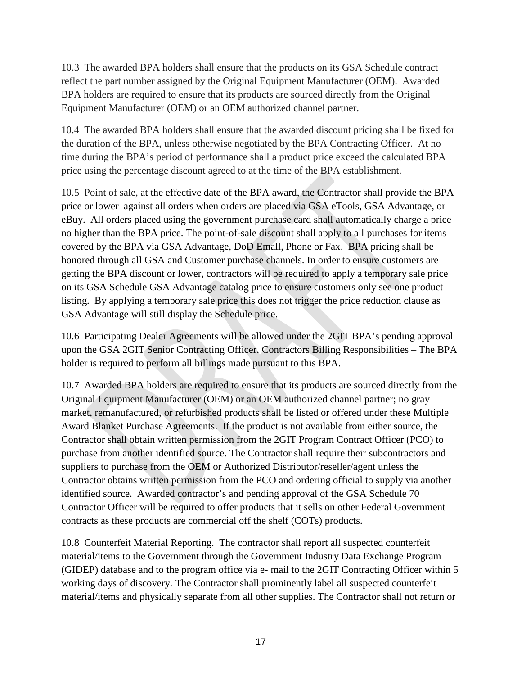10.3 The awarded BPA holders shall ensure that the products on its GSA Schedule contract reflect the part number assigned by the Original Equipment Manufacturer (OEM). Awarded BPA holders are required to ensure that its products are sourced directly from the Original Equipment Manufacturer (OEM) or an OEM authorized channel partner.

10.4 The awarded BPA holders shall ensure that the awarded discount pricing shall be fixed for the duration of the BPA, unless otherwise negotiated by the BPA Contracting Officer. At no time during the BPA's period of performance shall a product price exceed the calculated BPA price using the percentage discount agreed to at the time of the BPA establishment.

10.5 Point of sale, at the effective date of the BPA award, the Contractor shall provide the BPA price or lower against all orders when orders are placed via GSA eTools, GSA Advantage, or eBuy. All orders placed using the government purchase card shall automatically charge a price no higher than the BPA price. The point-of-sale discount shall apply to all purchases for items covered by the BPA via GSA Advantage, DoD Emall, Phone or Fax. BPA pricing shall be honored through all GSA and Customer purchase channels. In order to ensure customers are getting the BPA discount or lower, contractors will be required to apply a temporary sale price on its GSA Schedule GSA Advantage catalog price to ensure customers only see one product listing. By applying a temporary sale price this does not trigger the price reduction clause as GSA Advantage will still display the Schedule price.

10.6 Participating Dealer Agreements will be allowed under the 2GIT BPA's pending approval upon the GSA 2GIT Senior Contracting Officer. Contractors Billing Responsibilities – The BPA holder is required to perform all billings made pursuant to this BPA.

10.7 Awarded BPA holders are required to ensure that its products are sourced directly from the Original Equipment Manufacturer (OEM) or an OEM authorized channel partner; no gray market, remanufactured, or refurbished products shall be listed or offered under these Multiple Award Blanket Purchase Agreements. If the product is not available from either source, the Contractor shall obtain written permission from the 2GIT Program Contract Officer (PCO) to purchase from another identified source. The Contractor shall require their subcontractors and suppliers to purchase from the OEM or Authorized Distributor/reseller/agent unless the Contractor obtains written permission from the PCO and ordering official to supply via another identified source. Awarded contractor's and pending approval of the GSA Schedule 70 Contractor Officer will be required to offer products that it sells on other Federal Government contracts as these products are commercial off the shelf (COTs) products.

10.8 Counterfeit Material Reporting. The contractor shall report all suspected counterfeit material/items to the Government through the Government Industry Data Exchange Program (GIDEP) database and to the program office via e- mail to the 2GIT Contracting Officer within 5 working days of discovery. The Contractor shall prominently label all suspected counterfeit material/items and physically separate from all other supplies. The Contractor shall not return or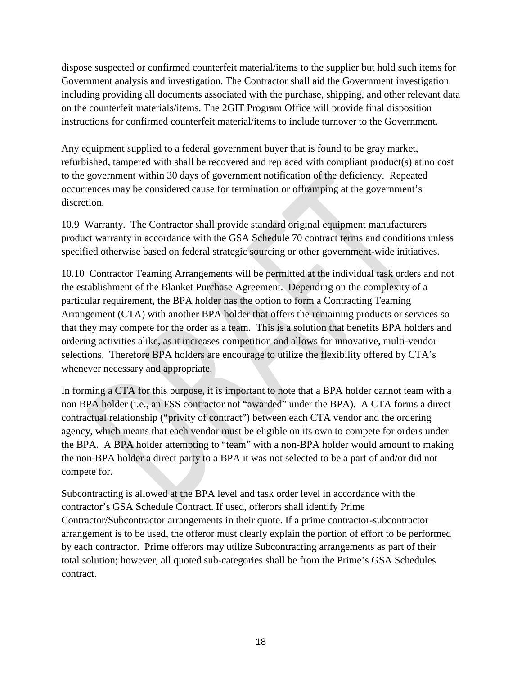dispose suspected or confirmed counterfeit material/items to the supplier but hold such items for Government analysis and investigation. The Contractor shall aid the Government investigation including providing all documents associated with the purchase, shipping, and other relevant data on the counterfeit materials/items. The 2GIT Program Office will provide final disposition instructions for confirmed counterfeit material/items to include turnover to the Government.

Any equipment supplied to a federal government buyer that is found to be gray market, refurbished, tampered with shall be recovered and replaced with compliant product(s) at no cost to the government within 30 days of government notification of the deficiency. Repeated occurrences may be considered cause for termination or offramping at the government's discretion.

10.9 Warranty. The Contractor shall provide standard original equipment manufacturers product warranty in accordance with the GSA Schedule 70 contract terms and conditions unless specified otherwise based on federal strategic sourcing or other government-wide initiatives.

10.10 Contractor Teaming Arrangements will be permitted at the individual task orders and not the establishment of the Blanket Purchase Agreement. Depending on the complexity of a particular requirement, the BPA holder has the option to form a Contracting Teaming Arrangement (CTA) with another BPA holder that offers the remaining products or services so that they may compete for the order as a team. This is a solution that benefits BPA holders and ordering activities alike, as it increases competition and allows for innovative, multi-vendor selections. Therefore BPA holders are encourage to utilize the flexibility offered by CTA's whenever necessary and appropriate.

In forming a CTA for this purpose, it is important to note that a BPA holder cannot team with a non BPA holder (i.e., an FSS contractor not "awarded" under the BPA). A CTA forms a direct contractual relationship ("privity of contract") between each CTA vendor and the ordering agency, which means that each vendor must be eligible on its own to compete for orders under the BPA. A BPA holder attempting to "team" with a non-BPA holder would amount to making the non-BPA holder a direct party to a BPA it was not selected to be a part of and/or did not compete for.

Subcontracting is allowed at the BPA level and task order level in accordance with the contractor's GSA Schedule Contract. If used, offerors shall identify Prime Contractor/Subcontractor arrangements in their quote. If a prime contractor-subcontractor arrangement is to be used, the offeror must clearly explain the portion of effort to be performed by each contractor. Prime offerors may utilize Subcontracting arrangements as part of their total solution; however, all quoted sub-categories shall be from the Prime's GSA Schedules contract.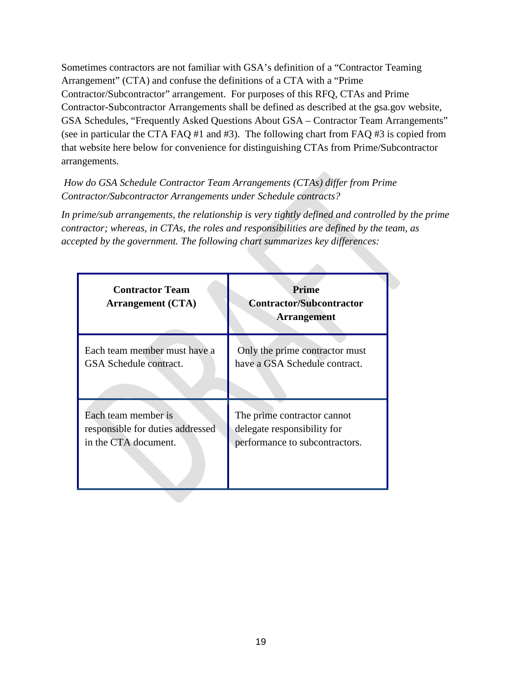Sometimes contractors are not familiar with GSA's definition of a "Contractor Teaming Arrangement" (CTA) and confuse the definitions of a CTA with a "Prime Contractor/Subcontractor" arrangement. For purposes of this RFQ, CTAs and Prime Contractor-Subcontractor Arrangements shall be defined as described at the gsa.gov website, GSA Schedules, "Frequently Asked Questions About GSA – Contractor Team Arrangements" (see in particular the CTA FAQ #1 and #3). The following chart from FAQ #3 is copied from that website here below for convenience for distinguishing CTAs from Prime/Subcontractor arrangements.

## *How do GSA Schedule Contractor Team Arrangements (CTAs) differ from Prime Contractor/Subcontractor Arrangements under Schedule contracts?*

*In prime/sub arrangements, the relationship is very tightly defined and controlled by the prime contractor; whereas, in CTAs, the roles and responsibilities are defined by the team, as accepted by the government. The following chart summarizes key differences:*

| <b>Contractor Team</b><br><b>Arrangement</b> (CTA) | Prime<br><b>Contractor/Subcontractor</b><br><b>Arrangement</b> |
|----------------------------------------------------|----------------------------------------------------------------|
| Each team member must have a                       | Only the prime contractor must                                 |
| GSA Schedule contract.                             | have a GSA Schedule contract.                                  |
| Each team member is                                | The prime contractor cannot                                    |
| responsible for duties addressed                   | delegate responsibility for                                    |
| in the CTA document.                               | performance to subcontractors.                                 |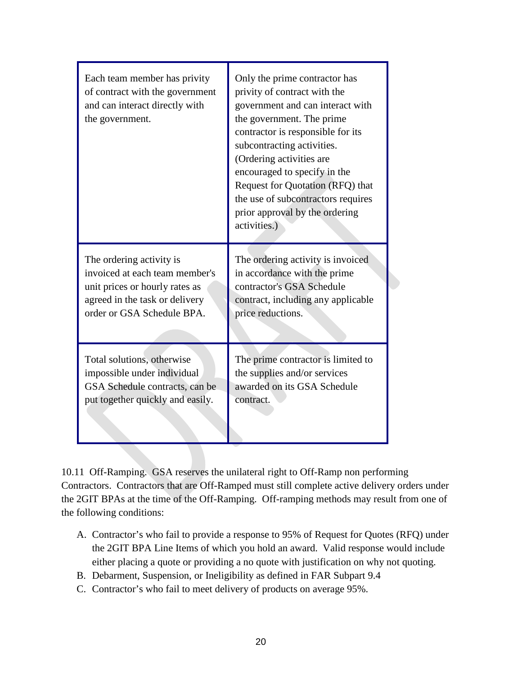| Each team member has privity<br>of contract with the government<br>and can interact directly with<br>the government. | Only the prime contractor has<br>privity of contract with the<br>government and can interact with<br>the government. The prime<br>contractor is responsible for its<br>subcontracting activities.<br>(Ordering activities are<br>encouraged to specify in the<br>Request for Quotation (RFQ) that<br>the use of subcontractors requires<br>prior approval by the ordering<br>activities.) |
|----------------------------------------------------------------------------------------------------------------------|-------------------------------------------------------------------------------------------------------------------------------------------------------------------------------------------------------------------------------------------------------------------------------------------------------------------------------------------------------------------------------------------|
| The ordering activity is                                                                                             | The ordering activity is invoiced                                                                                                                                                                                                                                                                                                                                                         |
| invoiced at each team member's                                                                                       | in accordance with the prime                                                                                                                                                                                                                                                                                                                                                              |
| unit prices or hourly rates as                                                                                       | contractor's GSA Schedule                                                                                                                                                                                                                                                                                                                                                                 |
| agreed in the task or delivery                                                                                       | contract, including any applicable                                                                                                                                                                                                                                                                                                                                                        |
| order or GSA Schedule BPA.                                                                                           | price reductions.                                                                                                                                                                                                                                                                                                                                                                         |
| Total solutions, otherwise                                                                                           | The prime contractor is limited to                                                                                                                                                                                                                                                                                                                                                        |
| impossible under individual                                                                                          | the supplies and/or services                                                                                                                                                                                                                                                                                                                                                              |
| GSA Schedule contracts, can be                                                                                       | awarded on its GSA Schedule                                                                                                                                                                                                                                                                                                                                                               |
| put together quickly and easily.                                                                                     | contract.                                                                                                                                                                                                                                                                                                                                                                                 |

10.11 Off-Ramping. GSA reserves the unilateral right to Off-Ramp non performing Contractors. Contractors that are Off-Ramped must still complete active delivery orders under the 2GIT BPAs at the time of the Off-Ramping. Off-ramping methods may result from one of the following conditions:

- A. Contractor's who fail to provide a response to 95% of Request for Quotes (RFQ) under the 2GIT BPA Line Items of which you hold an award. Valid response would include either placing a quote or providing a no quote with justification on why not quoting.
- B. Debarment, Suspension, or Ineligibility as defined in FAR Subpart 9.4
- C. Contractor's who fail to meet delivery of products on average 95%.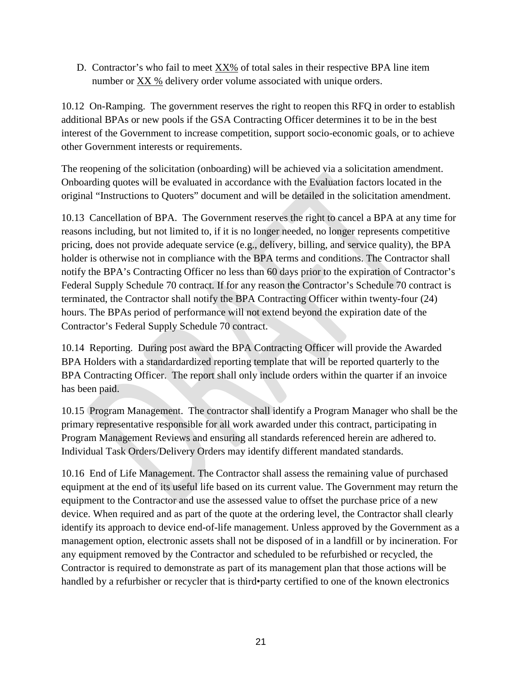D. Contractor's who fail to meet XX% of total sales in their respective BPA line item number or XX % delivery order volume associated with unique orders.

10.12 On-Ramping. The government reserves the right to reopen this RFQ in order to establish additional BPAs or new pools if the GSA Contracting Officer determines it to be in the best interest of the Government to increase competition, support socio-economic goals, or to achieve other Government interests or requirements.

The reopening of the solicitation (onboarding) will be achieved via a solicitation amendment. Onboarding quotes will be evaluated in accordance with the Evaluation factors located in the original "Instructions to Quoters" document and will be detailed in the solicitation amendment.

10.13 Cancellation of BPA. The Government reserves the right to cancel a BPA at any time for reasons including, but not limited to, if it is no longer needed, no longer represents competitive pricing, does not provide adequate service (e.g., delivery, billing, and service quality), the BPA holder is otherwise not in compliance with the BPA terms and conditions. The Contractor shall notify the BPA's Contracting Officer no less than 60 days prior to the expiration of Contractor's Federal Supply Schedule 70 contract. If for any reason the Contractor's Schedule 70 contract is terminated, the Contractor shall notify the BPA Contracting Officer within twenty-four (24) hours. The BPAs period of performance will not extend beyond the expiration date of the Contractor's Federal Supply Schedule 70 contract.

10.14 Reporting. During post award the BPA Contracting Officer will provide the Awarded BPA Holders with a standardardized reporting template that will be reported quarterly to the BPA Contracting Officer. The report shall only include orders within the quarter if an invoice has been paid.

10.15 Program Management. The contractor shall identify a Program Manager who shall be the primary representative responsible for all work awarded under this contract, participating in Program Management Reviews and ensuring all standards referenced herein are adhered to. Individual Task Orders/Delivery Orders may identify different mandated standards.

10.16 End of Life Management. The Contractor shall assess the remaining value of purchased equipment at the end of its useful life based on its current value. The Government may return the equipment to the Contractor and use the assessed value to offset the purchase price of a new device. When required and as part of the quote at the ordering level, the Contractor shall clearly identify its approach to device end-of-life management. Unless approved by the Government as a management option, electronic assets shall not be disposed of in a landfill or by incineration. For any equipment removed by the Contractor and scheduled to be refurbished or recycled, the Contractor is required to demonstrate as part of its management plan that those actions will be handled by a refurbisher or recycler that is third•party certified to one of the known electronics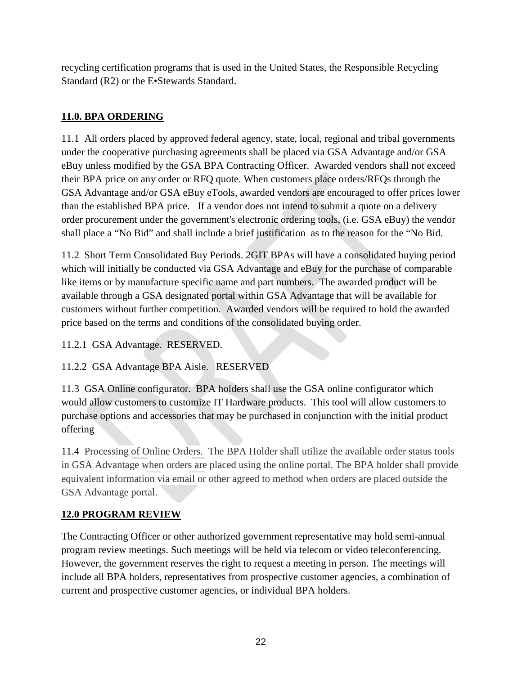recycling certification programs that is used in the United States, the Responsible Recycling Standard (R2) or the E•Stewards Standard.

# **11.0. BPA ORDERING**

11.1 All orders placed by approved federal agency, state, local, regional and tribal governments under the cooperative purchasing agreements shall be placed via GSA Advantage and/or GSA eBuy unless modified by the GSA BPA Contracting Officer. Awarded vendors shall not exceed their BPA price on any order or RFQ quote. When customers place orders/RFQs through the GSA Advantage and/or GSA eBuy eTools, awarded vendors are encouraged to offer prices lower than the established BPA price. If a vendor does not intend to submit a quote on a delivery order procurement under the government's electronic ordering tools, (i.e. GSA eBuy) the vendor shall place a "No Bid" and shall include a brief justification as to the reason for the "No Bid.

11.2 Short Term Consolidated Buy Periods. 2GIT BPAs will have a consolidated buying period which will initially be conducted via GSA Advantage and eBuy for the purchase of comparable like items or by manufacture specific name and part numbers. The awarded product will be available through a GSA designated portal within GSA Advantage that will be available for customers without further competition. Awarded vendors will be required to hold the awarded price based on the terms and conditions of the consolidated buying order.

11.2.1 GSA Advantage. RESERVED.

11.2.2 GSA Advantage BPA Aisle. RESERVED

11.3 GSA Online configurator. BPA holders shall use the GSA online configurator which would allow customers to customize IT Hardware products. This tool will allow customers to purchase options and accessories that may be purchased in conjunction with the initial product offering

11.4 Processing of Online Orders. The BPA Holder shall utilize the available order status tools in GSA Advantage when orders are placed using the online portal. The BPA holder shall provide equivalent information via email or other agreed to method when orders are placed outside the GSA Advantage portal.

# **12.0 PROGRAM REVIEW**

The Contracting Officer or other authorized government representative may hold semi-annual program review meetings. Such meetings will be held via telecom or video teleconferencing. However, the government reserves the right to request a meeting in person. The meetings will include all BPA holders, representatives from prospective customer agencies, a combination of current and prospective customer agencies, or individual BPA holders.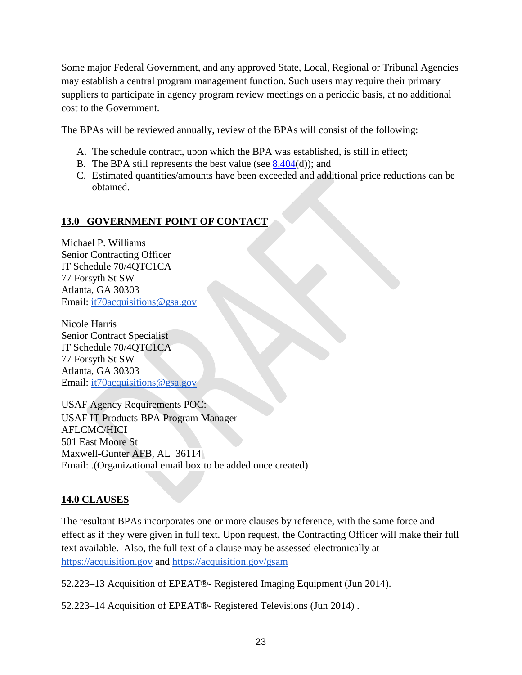Some major Federal Government, and any approved State, Local, Regional or Tribunal Agencies may establish a central program management function. Such users may require their primary suppliers to participate in agency program review meetings on a periodic basis, at no additional cost to the Government.

The BPAs will be reviewed annually, review of the BPAs will consist of the following:

- A. The schedule contract, upon which the BPA was established, is still in effect;
- B. The BPA still represents the best value (see [8.404\(](http://farsite.hill.af.mil/reghtml/regs/far2afmcfars/fardfars/far/08.htm#P83_13870)d)); and
- C. Estimated quantities/amounts have been exceeded and additional price reductions can be obtained.

## **13.0 GOVERNMENT POINT OF CONTACT**

Michael P. Williams Senior Contracting Officer IT Schedule 70/4QTC1CA 77 Forsyth St SW Atlanta, GA 30303 Email: [it70acquisitions@gsa.gov](mailto:michael.p.williams@gsa.gov)

Nicole Harris Senior Contract Specialist IT Schedule 70/4QTC1CA 77 Forsyth St SW Atlanta, GA 30303 Email: it<sup>70</sup>acquisitions@gsa.gov

USAF Agency Requirements POC: USAF IT Products BPA Program Manager AFLCMC/HICI 501 East Moore St Maxwell-Gunter AFB, AL 36114 Email:..(Organizational email box to be added once created)

## **14.0 CLAUSES**

The resultant BPAs incorporates one or more clauses by reference, with the same force and effect as if they were given in full text. Upon request, the Contracting Officer will make their full text available. Also, the full text of a clause may be assessed electronically at [https://acquisition.gov](https://acquisition.gov/) and<https://acquisition.gov/gsam>

52.223–13 Acquisition of EPEAT®- Registered Imaging Equipment (Jun 2014).

52.223–14 Acquisition of EPEAT®- Registered Televisions (Jun 2014) .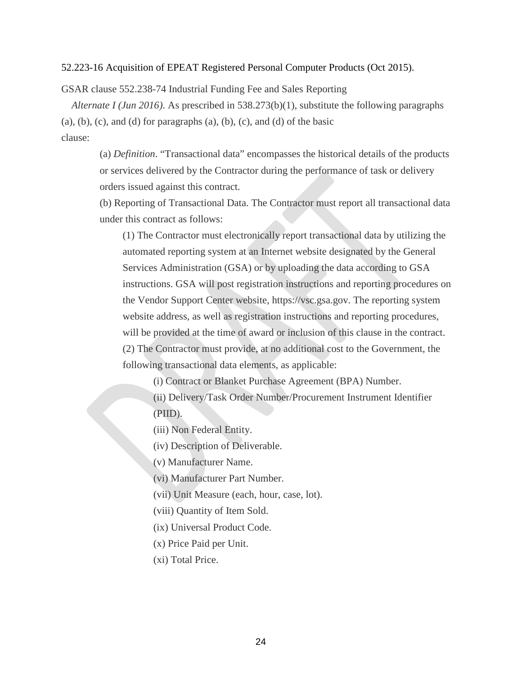#### 52.223-16 Acquisition of EPEAT Registered Personal Computer Products (Oct 2015).

GSAR clause 552.238-74 Industrial Funding Fee and Sales Reporting

*Alternate I (Jun 2016)*. As prescribed in [538.273\(b\)\(1\),](https://www.acquisition.gov/sites/default/files/current/gsam/html/Part538.html#wp1863076) substitute the following paragraphs  $(a)$ ,  $(b)$ ,  $(c)$ , and  $(d)$  for paragraphs  $(a)$ ,  $(b)$ ,  $(c)$ , and  $(d)$  of the basic clause:

(a) *Definition*. "Transactional data" encompasses the historical details of the products or services delivered by the Contractor during the performance of task or delivery orders issued against this contract.

(b) Reporting of Transactional Data. The Contractor must report all transactional data under this contract as follows:

(1) The Contractor must electronically report transactional data by utilizing the automated reporting system at an Internet website designated by the General Services Administration (GSA) or by uploading the data according to GSA instructions. GSA will post registration instructions and reporting procedures on the Vendor Support Center website, [https://vsc.gsa.gov.](https://vsc.gsa.gov/) The reporting system website address, as well as registration instructions and reporting procedures, will be provided at the time of award or inclusion of this clause in the contract. (2) The Contractor must provide, at no additional cost to the Government, the following transactional data elements, as applicable:

(i) Contract or Blanket Purchase Agreement (BPA) Number. (ii) Delivery/Task Order Number/Procurement Instrument Identifier (PIID).

(iii) Non Federal Entity.

(iv) Description of Deliverable.

(v) Manufacturer Name.

(vi) Manufacturer Part Number.

(vii) Unit Measure (each, hour, case, lot).

(viii) Quantity of Item Sold.

(ix) Universal Product Code.

(x) Price Paid per Unit.

(xi) Total Price.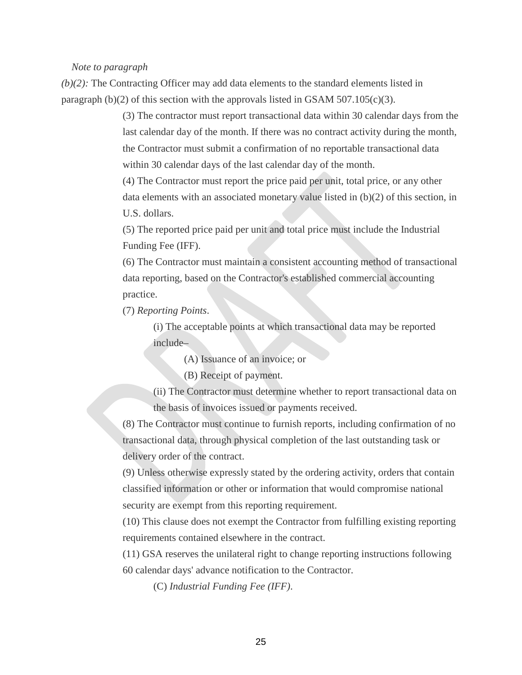#### *Note to paragraph*

*(b)(2):* The Contracting Officer may add data elements to the standard elements listed in paragraph  $(b)(2)$  of this section with the approvals listed in GSAM 507.105(c)(3).

> (3) The contractor must report transactional data within 30 calendar days from the last calendar day of the month. If there was no contract activity during the month, the Contractor must submit a confirmation of no reportable transactional data within 30 calendar days of the last calendar day of the month.

> (4) The Contractor must report the price paid per unit, total price, or any other data elements with an associated monetary value listed in (b)(2) of this section, in U.S. dollars.

(5) The reported price paid per unit and total price must include the Industrial Funding Fee (IFF).

(6) The Contractor must maintain a consistent accounting method of transactional data reporting, based on the Contractor's established commercial accounting practice.

(7) *Reporting Points*.

(i) The acceptable points at which transactional data may be reported include–

(A) Issuance of an invoice; or

(B) Receipt of payment.

(ii) The Contractor must determine whether to report transactional data on the basis of invoices issued or payments received.

(8) The Contractor must continue to furnish reports, including confirmation of no transactional data, through physical completion of the last outstanding task or delivery order of the contract.

(9) Unless otherwise expressly stated by the ordering activity, orders that contain classified information or other or information that would compromise national security are exempt from this reporting requirement.

(10) This clause does not exempt the Contractor from fulfilling existing reporting requirements contained elsewhere in the contract.

(11) GSA reserves the unilateral right to change reporting instructions following 60 calendar days' advance notification to the Contractor.

(C) *Industrial Funding Fee (IFF)*.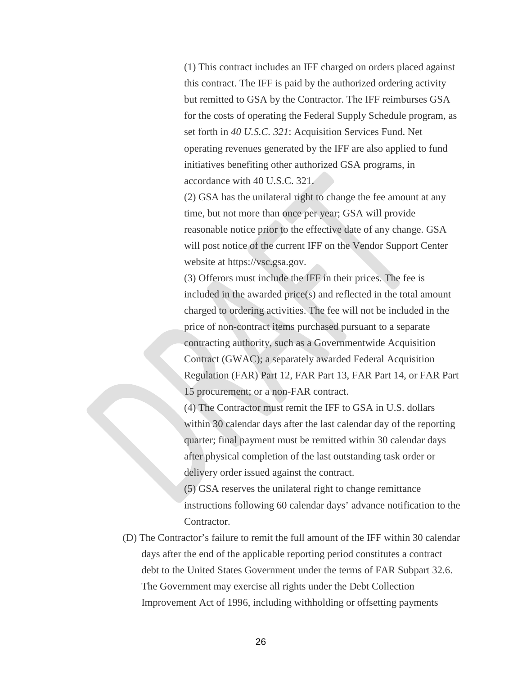(1) This contract includes an IFF charged on orders placed against this contract. The IFF is paid by the authorized ordering activity but remitted to GSA by the Contractor. The IFF reimburses GSA for the costs of operating the Federal Supply Schedule program, as set forth in *[40 U.S.C. 321](http://uscode.house.gov/)*: Acquisition Services Fund. Net operating revenues generated by the IFF are also applied to fund initiatives benefiting other authorized GSA programs, in accordance with 40 U.S.C. 321.

(2) GSA has the unilateral right to change the fee amount at any time, but not more than once per year; GSA will provide reasonable notice prior to the effective date of any change. GSA will post notice of the current IFF on the Vendor Support Center website at [https://vsc.gsa.gov.](https://vsc.gsa.gov/)

(3) Offerors must include the IFF in their prices. The fee is included in the awarded price(s) and reflected in the total amount charged to ordering activities. The fee will not be included in the price of non-contract items purchased pursuant to a separate contracting authority, such as a Governmentwide Acquisition Contract (GWAC); a separately awarded Federal Acquisition Regulation (FAR) Part 12, FAR Part 13, FAR Part 14, or FAR Part 15 procurement; or a non-FAR contract.

(4) The Contractor must remit the IFF to GSA in U.S. dollars within 30 calendar days after the last calendar day of the reporting quarter; final payment must be remitted within 30 calendar days after physical completion of the last outstanding task order or delivery order issued against the contract.

(5) GSA reserves the unilateral right to change remittance instructions following 60 calendar days' advance notification to the Contractor.

(D) The Contractor's failure to remit the full amount of the IFF within 30 calendar days after the end of the applicable reporting period constitutes a contract debt to the United States Government under the terms of FAR Subpart 32.6. The Government may exercise all rights under the Debt Collection Improvement Act of 1996, including withholding or offsetting payments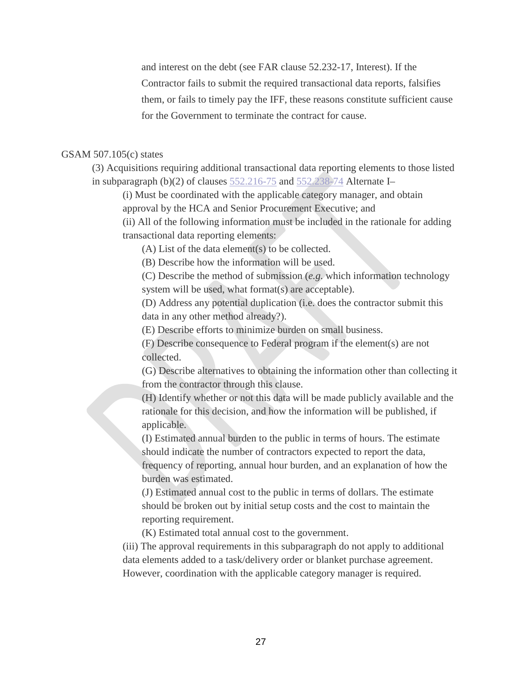and interest on the debt (see FAR clause 52.232-17, Interest). If the

Contractor fails to submit the required transactional data reports, falsifies them, or fails to timely pay the IFF, these reasons constitute sufficient cause for the Government to terminate the contract for cause.

#### GSAM 507.105(c) states

(3) Acquisitions requiring additional transactional data reporting elements to those listed in [s](https://www.acquisition.gov/sites/default/files/current/gsam/html/Part552_Sub2A.html#wp1935999)ubparagraph (b)(2) of clauses  $552.216-75$  and  $552.238-74$  Alternate I-

(i) Must be coordinated with the applicable category manager, and obtain approval by the HCA and Senior Procurement Executive; and

(ii) All of the following information must be included in the rationale for adding transactional data reporting elements:

(A) List of the data element(s) to be collected.

(B) Describe how the information will be used.

(C) Describe the method of submission (*e.g.* which information technology system will be used, what format(s) are acceptable).

(D) Address any potential duplication (i.e. does the contractor submit this data in any other method already?).

(E) Describe efforts to minimize burden on small business.

(F) Describe consequence to Federal program if the element(s) are not collected.

(G) Describe alternatives to obtaining the information other than collecting it from the contractor through this clause.

(H) Identify whether or not this data will be made publicly available and the rationale for this decision, and how the information will be published, if applicable.

(I) Estimated annual burden to the public in terms of hours. The estimate should indicate the number of contractors expected to report the data, frequency of reporting, annual hour burden, and an explanation of how the burden was estimated.

(J) Estimated annual cost to the public in terms of dollars. The estimate should be broken out by initial setup costs and the cost to maintain the reporting requirement.

(K) Estimated total annual cost to the government.

(iii) The approval requirements in this subparagraph do not apply to additional data elements added to a task/delivery order or blanket purchase agreement. However, coordination with the applicable category manager is required.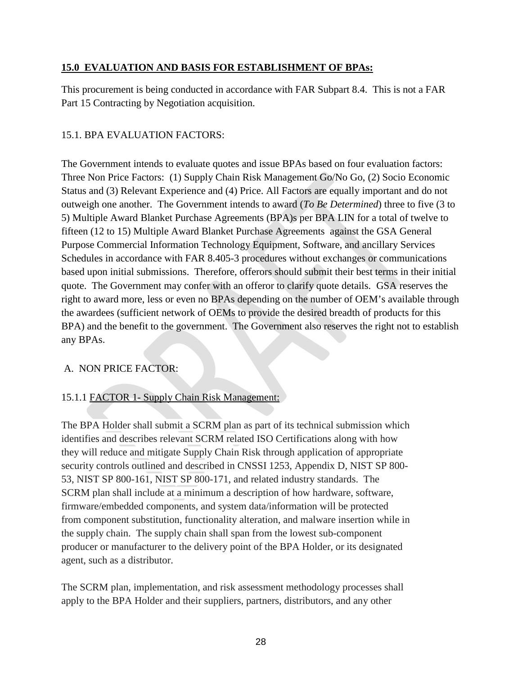#### **15.0 EVALUATION AND BASIS FOR ESTABLISHMENT OF BPAs:**

This procurement is being conducted in accordance with FAR Subpart 8.4. This is not a FAR Part 15 Contracting by Negotiation acquisition.

#### 15.1. BPA EVALUATION FACTORS:

The Government intends to evaluate quotes and issue BPAs based on four evaluation factors: Three Non Price Factors: (1) Supply Chain Risk Management Go/No Go, (2) Socio Economic Status and (3) Relevant Experience and (4) Price. All Factors are equally important and do not outweigh one another. The Government intends to award (*To Be Determined*) three to five (3 to 5) Multiple Award Blanket Purchase Agreements (BPA)s per BPA LIN for a total of twelve to fifteen (12 to 15) Multiple Award Blanket Purchase Agreements against the GSA General Purpose Commercial Information Technology Equipment, Software, and ancillary Services Schedules in accordance with FAR 8.405-3 procedures without exchanges or communications based upon initial submissions. Therefore, offerors should submit their best terms in their initial quote. The Government may confer with an offeror to clarify quote details. GSA reserves the right to award more, less or even no BPAs depending on the number of OEM's available through the awardees (sufficient network of OEMs to provide the desired breadth of products for this BPA) and the benefit to the government. The Government also reserves the right not to establish any BPAs.

## A. NON PRICE FACTOR:

## 15.1.1 FACTOR 1- Supply Chain Risk Management:

The BPA Holder shall submit a SCRM plan as part of its technical submission which identifies and describes relevant SCRM related ISO Certifications along with how they will reduce and mitigate Supply Chain Risk through application of appropriate security controls outlined and described in CNSSI 1253, Appendix D, NIST SP 800- 53, NIST SP 800-161, NIST SP 800-171, and related industry standards. The SCRM plan shall include at a minimum a description of how hardware, software, firmware/embedded components, and system data/information will be protected from component substitution, functionality alteration, and malware insertion while in the supply chain. The supply chain shall span from the lowest sub-component producer or manufacturer to the delivery point of the BPA Holder, or its designated agent, such as a distributor.

The SCRM plan, implementation, and risk assessment methodology processes shall apply to the BPA Holder and their suppliers, partners, distributors, and any other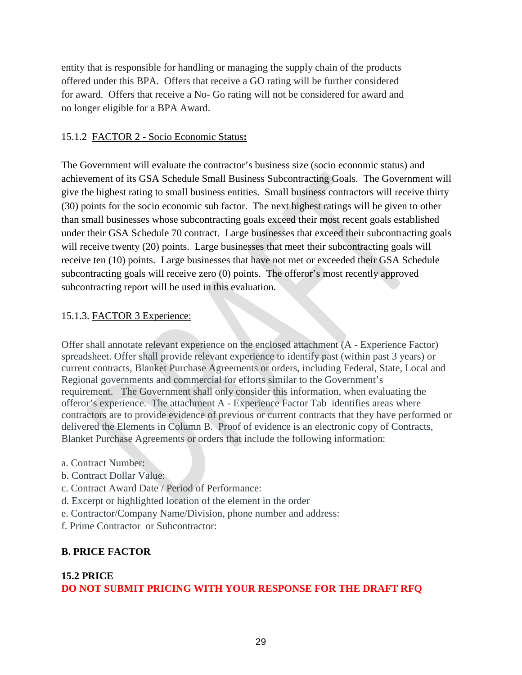entity that is responsible for handling or managing the supply chain of the products offered under this BPA. Offers that receive a GO rating will be further considered for award. Offers that receive a No- Go rating will not be considered for award and no longer eligible for a BPA Award.

## 15.1.2 FACTOR 2 - Socio Economic Status**:**

The Government will evaluate the contractor's business size (socio economic status) and achievement of its GSA Schedule Small Business Subcontracting Goals. The Government will give the highest rating to small business entities. Small business contractors will receive thirty (30) points for the socio economic sub factor. The next highest ratings will be given to other than small businesses whose subcontracting goals exceed their most recent goals established under their GSA Schedule 70 contract. Large businesses that exceed their subcontracting goals will receive twenty (20) points. Large businesses that meet their subcontracting goals will receive ten (10) points. Large businesses that have not met or exceeded their GSA Schedule subcontracting goals will receive zero (0) points. The offeror's most recently approved subcontracting report will be used in this evaluation.

# 15.1.3. FACTOR 3 Experience:

Offer shall annotate relevant experience on the enclosed attachment (A - Experience Factor) spreadsheet. Offer shall provide relevant experience to identify past (within past 3 years) or current contracts, Blanket Purchase Agreements or orders, including Federal, State, Local and Regional governments and commercial for efforts similar to the Government's requirement. The Government shall only consider this information, when evaluating the offeror's experience. The attachment A - Experience Factor Tab identifies areas where contractors are to provide evidence of previous or current contracts that they have performed or delivered the Elements in Column B. Proof of evidence is an electronic copy of Contracts, Blanket Purchase Agreements or orders that include the following information:

- a. Contract Number:
- b. Contract Dollar Value:
- c. Contract Award Date / Period of Performance:
- d. Excerpt or highlighted location of the element in the order
- e. Contractor/Company Name/Division, phone number and address:
- f. Prime Contractor or Subcontractor:

## **B. PRICE FACTOR**

#### **15.2 PRICE DO NOT SUBMIT PRICING WITH YOUR RESPONSE FOR THE DRAFT RFQ**